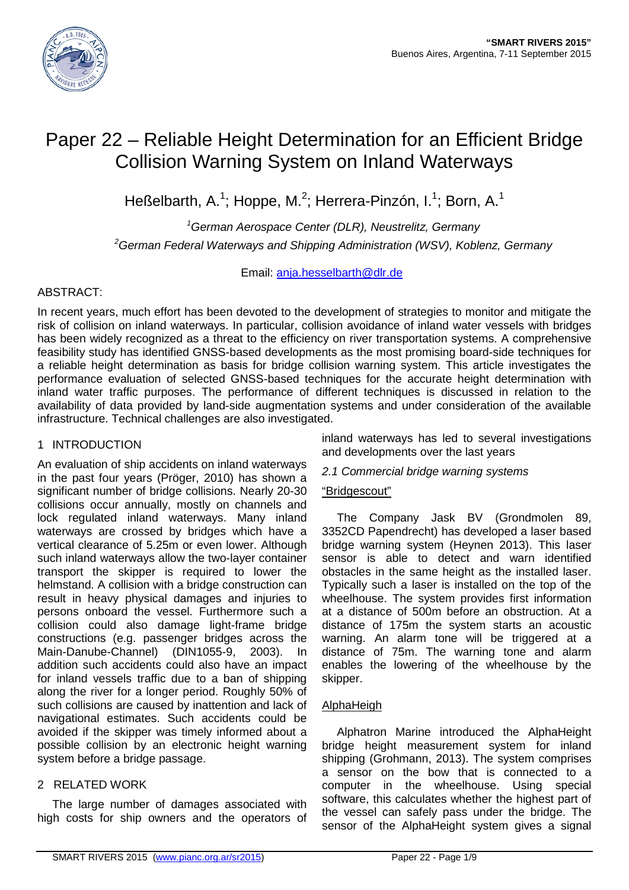

# Paper 22 – Reliable Height Determination for an Efficient Bridge Collision Warning System on Inland Waterways

Heßelbarth, A.<sup>1</sup>; Hoppe, M.<sup>2</sup>; Herrera-Pinzón, I.<sup>1</sup>; Born, A.<sup>1</sup>

*1 German Aerospace Center (DLR), Neustrelitz, Germany 2 German Federal Waterways and Shipping Administration (WSV), Koblenz, Germany*

Email: [anja.hesselbarth@dlr.de](mailto:anja.hesselbarth@dlr.de) 

# ABSTRACT:

In recent years, much effort has been devoted to the development of strategies to monitor and mitigate the risk of collision on inland waterways. In particular, collision avoidance of inland water vessels with bridges has been widely recognized as a threat to the efficiency on river transportation systems. A comprehensive feasibility study has identified GNSS-based developments as the most promising board-side techniques for a reliable height determination as basis for bridge collision warning system. This article investigates the performance evaluation of selected GNSS-based techniques for the accurate height determination with inland water traffic purposes. The performance of different techniques is discussed in relation to the availability of data provided by land-side augmentation systems and under consideration of the available infrastructure. Technical challenges are also investigated.

# 1 INTRODUCTION

An evaluation of ship accidents on inland waterways in the past four years (Pröger, 2010) has shown a significant number of bridge collisions. Nearly 20-30 collisions occur annually, mostly on channels and lock regulated inland waterways. Many inland waterways are crossed by bridges which have a vertical clearance of 5.25m or even lower. Although such inland waterways allow the two-layer container transport the skipper is required to lower the helmstand. A collision with a bridge construction can result in heavy physical damages and injuries to persons onboard the vessel. Furthermore such a collision could also damage light-frame bridge constructions (e.g. passenger bridges across the Main-Danube-Channel) (DIN1055-9, 2003). In addition such accidents could also have an impact for inland vessels traffic due to a ban of shipping along the river for a longer period. Roughly 50% of such collisions are caused by inattention and lack of navigational estimates. Such accidents could be avoided if the skipper was timely informed about a possible collision by an electronic height warning system before a bridge passage.

# 2 RELATED WORK

The large number of damages associated with high costs for ship owners and the operators of inland waterways has led to several investigations and developments over the last years

# *2.1 Commercial bridge warning systems*

# "Bridgescout"

The Company Jask BV (Grondmolen 89, 3352CD Papendrecht) has developed a laser based bridge warning system (Heynen 2013). This laser sensor is able to detect and warn identified obstacles in the same height as the installed laser. Typically such a laser is installed on the top of the wheelhouse. The system provides first information at a distance of 500m before an obstruction. At a distance of 175m the system starts an acoustic warning. An alarm tone will be triggered at a distance of 75m. The warning tone and alarm enables the lowering of the wheelhouse by the skipper.

#### AlphaHeigh

Alphatron Marine introduced the AlphaHeight bridge height measurement system for inland shipping (Grohmann, 2013). The system comprises a sensor on the bow that is connected to a computer in the wheelhouse. Using special software, this calculates whether the highest part of the vessel can safely pass under the bridge. The sensor of the AlphaHeight system gives a signal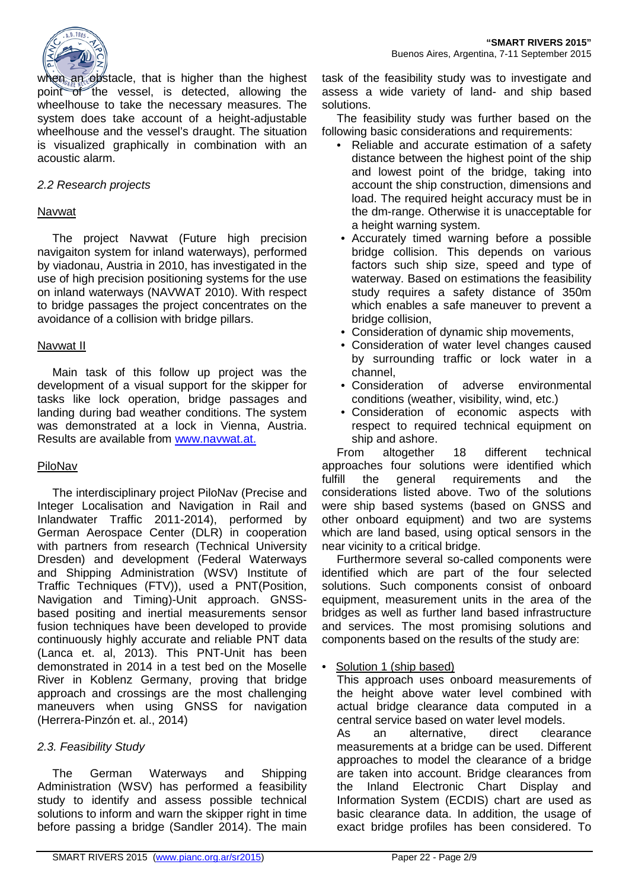

when an obstacle, that is higher than the highest point of the vessel, is detected, allowing the wheelhouse to take the necessary measures. The system does take account of a height-adjustable wheelhouse and the vessel's draught. The situation is visualized graphically in combination with an acoustic alarm.

## *2.2 Research projects*

### Navwat

The project Navwat (Future high precision navigaiton system for inland waterways), performed by viadonau, Austria in 2010, has investigated in the use of high precision positioning systems for the use on inland waterways (NAVWAT 2010). With respect to bridge passages the project concentrates on the avoidance of a collision with bridge pillars.

#### Navwat II

Main task of this follow up project was the development of a visual support for the skipper for tasks like lock operation, bridge passages and landing during bad weather conditions. The system was demonstrated at a lock in Vienna, Austria. Results are available from [www.navwat.at.](http://www.navwat.at./)

# PiloNav

The interdisciplinary project PiloNav (Precise and Integer Localisation and Navigation in Rail and Inlandwater Traffic 2011-2014), performed by German Aerospace Center (DLR) in cooperation with partners from research (Technical University Dresden) and development (Federal Waterways and Shipping Administration (WSV) Institute of Traffic Techniques (FTV)), used a PNT(Position, Navigation and Timing)-Unit approach. GNSSbased positing and inertial measurements sensor fusion techniques have been developed to provide continuously highly accurate and reliable PNT data (Lanca et. al, 2013). This PNT-Unit has been demonstrated in 2014 in a test bed on the Moselle River in Koblenz Germany, proving that bridge approach and crossings are the most challenging maneuvers when using GNSS for navigation (Herrera-Pinzón et. al., 2014)

# *2.3. Feasibility Study*

The German Waterways and Shipping Administration (WSV) has performed a feasibility study to identify and assess possible technical solutions to inform and warn the skipper right in time before passing a bridge (Sandler 2014). The main task of the feasibility study was to investigate and assess a wide variety of land- and ship based solutions.

The feasibility study was further based on the following basic considerations and requirements:

- Reliable and accurate estimation of a safety distance between the highest point of the ship and lowest point of the bridge, taking into account the ship construction, dimensions and load. The required height accuracy must be in the dm-range. Otherwise it is unacceptable for a height warning system.
- Accurately timed warning before a possible bridge collision. This depends on various factors such ship size, speed and type of waterway. Based on estimations the feasibility study requires a safety distance of 350m which enables a safe maneuver to prevent a bridge collision,
- Consideration of dynamic ship movements,
- Consideration of water level changes caused by surrounding traffic or lock water in a channel,
- Consideration of adverse environmental conditions (weather, visibility, wind, etc.)
- Consideration of economic aspects with respect to required technical equipment on ship and ashore.

From altogether 18 different technical approaches four solutions were identified which fulfill the general requirements and the considerations listed above. Two of the solutions were ship based systems (based on GNSS and other onboard equipment) and two are systems which are land based, using optical sensors in the near vicinity to a critical bridge.

Furthermore several so-called components were identified which are part of the four selected solutions. Such components consist of onboard equipment, measurement units in the area of the bridges as well as further land based infrastructure and services. The most promising solutions and components based on the results of the study are:

# Solution 1 (ship based)

This approach uses onboard measurements of the height above water level combined with actual bridge clearance data computed in a central service based on water level models.<br>As an alternative. direct clear As an alternative, direct clearance measurements at a bridge can be used. Different approaches to model the clearance of a bridge are taken into account. Bridge clearances from the Inland Electronic Chart Display and Information System (ECDIS) chart are used as basic clearance data. In addition, the usage of exact bridge profiles has been considered. To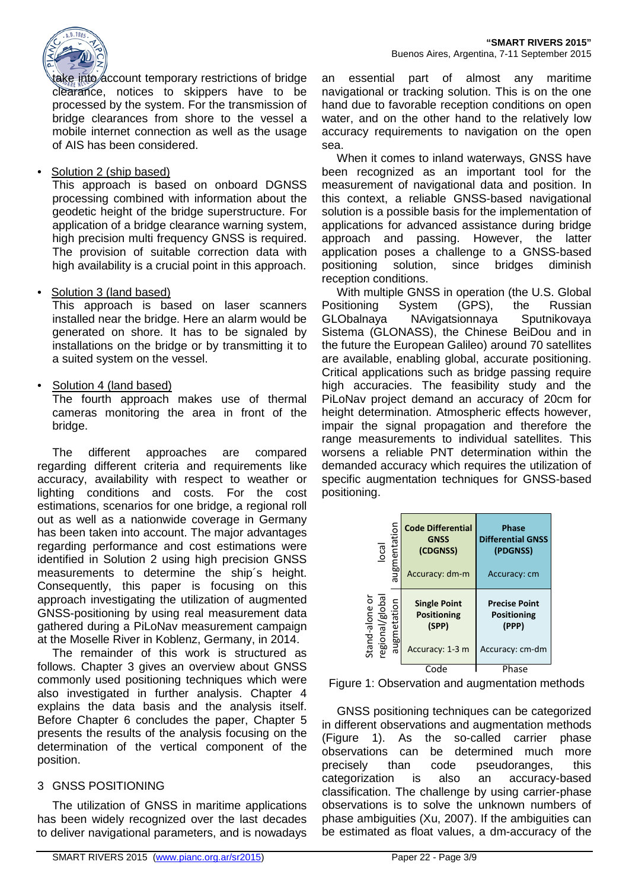

take into account temporary restrictions of bridge clearance, notices to skippers have to be processed by the system. For the transmission of bridge clearances from shore to the vessel a mobile internet connection as well as the usage of AIS has been considered.

# • Solution 2 (ship based)

This approach is based on onboard DGNSS processing combined with information about the geodetic height of the bridge superstructure. For application of a bridge clearance warning system, high precision multi frequency GNSS is required. The provision of suitable correction data with high availability is a crucial point in this approach.

# Solution 3 (land based)

This approach is based on laser scanners installed near the bridge. Here an alarm would be generated on shore. It has to be signaled by installations on the bridge or by transmitting it to a suited system on the vessel.

Solution 4 (land based)

The fourth approach makes use of thermal cameras monitoring the area in front of the bridge.

The different approaches are compared regarding different criteria and requirements like accuracy, availability with respect to weather or lighting conditions and costs. For the cost estimations, scenarios for one bridge, a regional roll out as well as a nationwide coverage in Germany has been taken into account. The major advantages regarding performance and cost estimations were identified in Solution 2 using high precision GNSS measurements to determine the ship´s height. Consequently, this paper is focusing on this approach investigating the utilization of augmented GNSS-positioning by using real measurement data gathered during a PiLoNav measurement campaign at the Moselle River in Koblenz, Germany, in 2014.

The remainder of this work is structured as follows. Chapter 3 gives an overview about GNSS commonly used positioning techniques which were also investigated in further analysis. Chapter 4 explains the data basis and the analysis itself. Before Chapter 6 concludes the paper, Chapter 5 presents the results of the analysis focusing on the determination of the vertical component of the position.

# 3 GNSS POSITIONING

The utilization of GNSS in maritime applications has been widely recognized over the last decades to deliver navigational parameters, and is nowadays an essential part of almost any maritime navigational or tracking solution. This is on the one hand due to favorable reception conditions on open water, and on the other hand to the relatively low accuracy requirements to navigation on the open sea.

When it comes to inland waterways, GNSS have been recognized as an important tool for the measurement of navigational data and position. In this context, a reliable GNSS-based navigational solution is a possible basis for the implementation of applications for advanced assistance during bridge approach and passing. However, the latter application poses a challenge to a GNSS-based positioning solution, since bridges diminish reception conditions.

With multiple GNSS in operation (the U.S. Global Positioning System (GPS), the Russian<br>GLObalnava NAvigatsionnava Sputnikovaya NAvigatsionnaya Sputnikovaya Sistema (GLONASS), the Chinese BeiDou and in the future the European Galileo) around 70 satellites are available, enabling global, accurate positioning. Critical applications such as bridge passing require high accuracies. The feasibility study and the PiLoNav project demand an accuracy of 20cm for height determination. Atmospheric effects however, impair the signal propagation and therefore the range measurements to individual satellites. This worsens a reliable PNT determination within the demanded accuracy which requires the utilization of specific augmentation techniques for GNSS-based positioning.

| $\overline{\overline{\overline{c}}}$             | augmentation | <b>Code Differential</b><br><b>GNSS</b><br>(CDGNSS)<br>Accuracy: dm-m | <b>Phase</b><br><b>Differential GNSS</b><br>(PDGNSS)<br>Accuracy: cm   |
|--------------------------------------------------|--------------|-----------------------------------------------------------------------|------------------------------------------------------------------------|
| Stand-alone or<br>regional/global<br>augmetation |              | <b>Single Point</b><br><b>Positioning</b><br>(SPP)<br>Accuracy: 1-3 m | <b>Precise Point</b><br><b>Positioning</b><br>(PPP)<br>Accuracy: cm-dm |
|                                                  |              | Code                                                                  | Phase                                                                  |

<span id="page-2-0"></span>

GNSS positioning techniques can be categorized in different observations and augmentation methods [\(Figure 1\)](#page-2-0). As the so-called carrier phase observations can be determined much more precisely than code pseudoranges, this categorization is also an accuracy-based classification. The challenge by using carrier-phase observations is to solve the unknown numbers of phase ambiguities (Xu, 2007). If the ambiguities can be estimated as float values, a dm-accuracy of the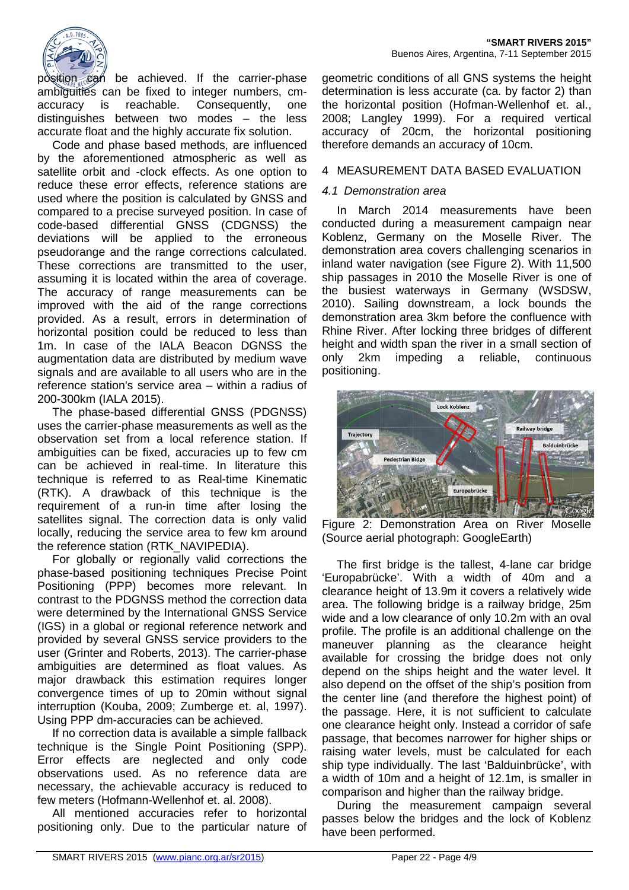

position can be achieved. If the carrier-phase ambiguities can be fixed to integer numbers, cmaccuracy is reachable. Consequently, one distinguishes between two modes – the less accurate float and the highly accurate fix solution.

Code and phase based methods, are influenced by the aforementioned atmospheric as well as satellite orbit and -clock effects. As one option to reduce these error effects, reference stations are used where the position is calculated by GNSS and compared to a precise surveyed position. In case of code-based differential GNSS (CDGNSS) the deviations will be applied to the erroneous pseudorange and the range corrections calculated. These corrections are transmitted to the user, assuming it is located within the area of coverage. The accuracy of range measurements can be improved with the aid of the range corrections provided. As a result, errors in determination of horizontal position could be reduced to less than 1m. In case of the IALA Beacon DGNSS the augmentation data are distributed by medium wave signals and are available to all users who are in the reference station's service area – within a radius of 200-300km (IALA 2015).

The phase-based differential GNSS (PDGNSS) uses the carrier-phase measurements as well as the observation set from a local reference station. If ambiguities can be fixed, accuracies up to few cm can be achieved in real-time. In literature this technique is referred to as Real-time Kinematic (RTK). A drawback of this technique is the requirement of a run-in time after losing the satellites signal. The correction data is only valid locally, reducing the service area to few km around the reference station (RTK\_NAVIPEDIA).

For globally or regionally valid corrections the phase-based positioning techniques Precise Point Positioning (PPP) becomes more relevant. In contrast to the PDGNSS method the correction data were determined by the International GNSS Service (IGS) in a global or regional reference network and provided by several GNSS service providers to the user (Grinter and Roberts, 2013). The carrier-phase ambiguities are determined as float values. As major drawback this estimation requires longer convergence times of up to 20min without signal interruption (Kouba, 2009; Zumberge et. al, 1997). Using PPP dm-accuracies can be achieved.

If no correction data is available a simple fallback technique is the Single Point Positioning (SPP). Error effects are neglected and only code observations used. As no reference data are necessary, the achievable accuracy is reduced to few meters (Hofmann-Wellenhof et. al. 2008).

All mentioned accuracies refer to horizontal positioning only. Due to the particular nature of

geometric conditions of all GNS systems the height determination is less accurate (ca. by factor 2) than the horizontal position (Hofman-Wellenhof et. al., 2008; Langley 1999). For a required vertical accuracy of 20cm, the horizontal positioning therefore demands an accuracy of 10cm.

# 4 MEASUREMENT DATA BASED EVALUATION

# *4.1 Demonstration area*

In March 2014 measurements have been conducted during a measurement campaign near Koblenz, Germany on the Moselle River. The demonstration area covers challenging scenarios in inland water navigation (see Figure 2). With 11,500 ship passages in 2010 the Moselle River is one of the busiest waterways in Germany (WSDSW, 2010). Sailing downstream, a lock bounds the demonstration area 3km before the confluence with Rhine River. After locking three bridges of different height and width span the river in a small section of only 2km impeding a reliable, continuous positioning.



Figure 2: Demonstration Area on River Moselle (Source aerial photograph: GoogleEarth)

The first bridge is the tallest, 4-lane car bridge 'Europabrücke'. With a width of 40m and a clearance height of 13.9m it covers a relatively wide area. The following bridge is a railway bridge, 25m wide and a low clearance of only 10.2m with an oval profile. The profile is an additional challenge on the maneuver planning as the clearance height available for crossing the bridge does not only depend on the ships height and the water level. It also depend on the offset of the ship's position from the center line (and therefore the highest point) of the passage. Here, it is not sufficient to calculate one clearance height only. Instead a corridor of safe passage, that becomes narrower for higher ships or raising water levels, must be calculated for each ship type individually. The last 'Balduinbrücke', with a width of 10m and a height of 12.1m, is smaller in comparison and higher than the railway bridge.

During the measurement campaign several passes below the bridges and the lock of Koblenz have been performed.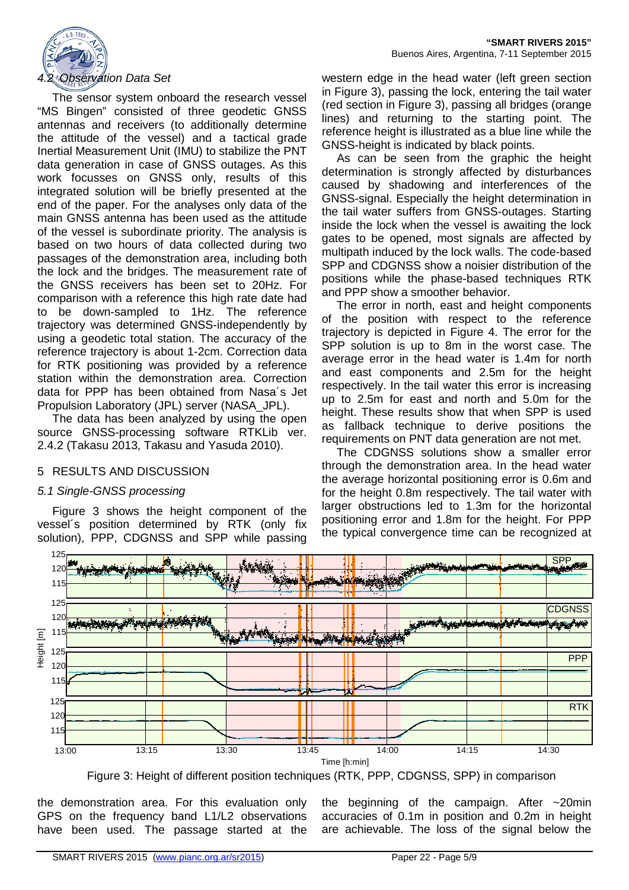

The sensor system onboard the research vessel "MS Bingen" consisted of three geodetic GNSS antennas and receivers (to additionally determine the attitude of the vessel) and a tactical grade Inertial Measurement Unit (IMU) to stabilize the PNT data generation in case of GNSS outages. As this work focusses on GNSS only, results of this integrated solution will be briefly presented at the end of the paper. For the analyses only data of the main GNSS antenna has been used as the attitude of the vessel is subordinate priority. The analysis is based on two hours of data collected during two passages of the demonstration area, including both the lock and the bridges. The measurement rate of the GNSS receivers has been set to 20Hz. For comparison with a reference this high rate date had to be down-sampled to 1Hz. The reference trajectory was determined GNSS-independently by using a geodetic total station. The accuracy of the reference trajectory is about 1-2cm. Correction data for RTK positioning was provided by a reference station within the demonstration area. Correction data for PPP has been obtained from Nasa´s Jet Propulsion Laboratory (JPL) server (NASA\_JPL).

The data has been analyzed by using the open source GNSS-processing software RTKLib ver. 2.4.2 (Takasu 2013, Takasu and Yasuda 2010).

# 5 RESULTS AND DISCUSSION

# *5.1 Single-GNSS processing*

[Figure 3](#page-4-0) shows the height component of the vessel´s position determined by RTK (only fix solution), PPP, CDGNSS and SPP while passing western edge in the head water (left green section in [Figure 3\)](#page-4-0), passing the lock, entering the tail water (red section in [Figure 3\)](#page-4-0), passing all bridges (orange lines) and returning to the starting point. The reference height is illustrated as a blue line while the GNSS-height is indicated by black points.

As can be seen from the graphic the height determination is strongly affected by disturbances caused by shadowing and interferences of the GNSS-signal. Especially the height determination in the tail water suffers from GNSS-outages. Starting inside the lock when the vessel is awaiting the lock gates to be opened, most signals are affected by multipath induced by the lock walls. The code-based SPP and CDGNSS show a noisier distribution of the positions while the phase-based techniques RTK and PPP show a smoother behavior.

The error in north, east and height components of the position with respect to the reference trajectory is depicted in [Figure 4.](#page-5-0) The error for the SPP solution is up to 8m in the worst case. The average error in the head water is 1.4m for north and east components and 2.5m for the height respectively. In the tail water this error is increasing up to 2.5m for east and north and 5.0m for the height. These results show that when SPP is used as fallback technique to derive positions the requirements on PNT data generation are not met.

The CDGNSS solutions show a smaller error through the demonstration area. In the head water the average horizontal positioning error is 0.6m and for the height 0.8m respectively. The tail water with larger obstructions led to 1.3m for the horizontal positioning error and 1.8m for the height. For PPP the typical convergence time can be recognized at



Figure 3: Height of different position techniques (RTK, PPP, CDGNSS, SPP) in comparison

<span id="page-4-0"></span>the demonstration area. For this evaluation only GPS on the frequency band L1/L2 observations have been used. The passage started at the the beginning of the campaign. After ~20min accuracies of 0.1m in position and 0.2m in height are achievable. The loss of the signal below the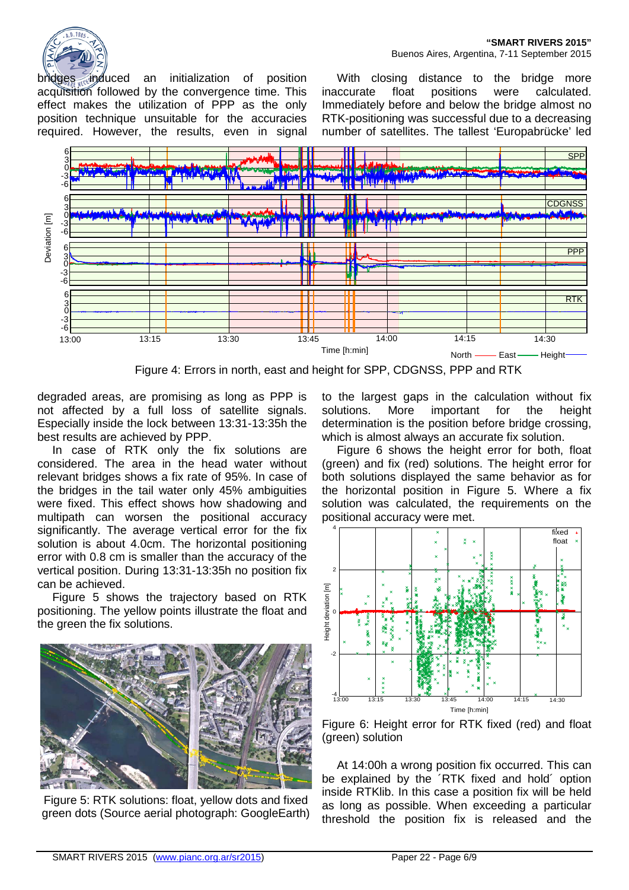**"SMART RIVERS 2015"** Buenos Aires, Argentina, 7-11 September 2015

bridges induced an initialization of position acquisition followed by the convergence time. This effect makes the utilization of PPP as the only position technique unsuitable for the accuracies required. However, the results, even in signal

With closing distance to the bridge more inaccurate float positions were calculated. Immediately before and below the bridge almost no RTK-positioning was successful due to a decreasing number of satellites. The tallest 'Europabrücke' led



Figure 4: Errors in north, east and height for SPP, CDGNSS, PPP and RTK

<span id="page-5-0"></span>degraded areas, are promising as long as PPP is not affected by a full loss of satellite signals. Especially inside the lock between 13:31-13:35h the best results are achieved by PPP.

In case of RTK only the fix solutions are considered. The area in the head water without relevant bridges shows a fix rate of 95%. In case of the bridges in the tail water only 45% ambiguities were fixed. This effect shows how shadowing and multipath can worsen the positional accuracy significantly. The average vertical error for the fix solution is about 4.0cm. The horizontal positioning error with 0.8 cm is smaller than the accuracy of the vertical position. During 13:31-13:35h no position fix can be achieved.

Figure 5 shows the trajectory based on RTK positioning. The yellow points illustrate the float and the green the fix solutions.



Figure 5: RTK solutions: float, yellow dots and fixed green dots (Source aerial photograph: GoogleEarth)

to the largest gaps in the calculation without fix solutions. More important for the height determination is the position before bridge crossing. which is almost always an accurate fix solution.

[Figure 6](#page-5-1) shows the height error for both, float (green) and fix (red) solutions. The height error for both solutions displayed the same behavior as for the horizontal position in Figure 5. Where a fix solution was calculated, the requirements on the positional accuracy were met.



<span id="page-5-1"></span>Figure 6: Height error for RTK fixed (red) and float (green) solution

At 14:00h a wrong position fix occurred. This can be explained by the ´RTK fixed and hold´ option inside RTKlib. In this case a position fix will be held as long as possible. When exceeding a particular threshold the position fix is released and the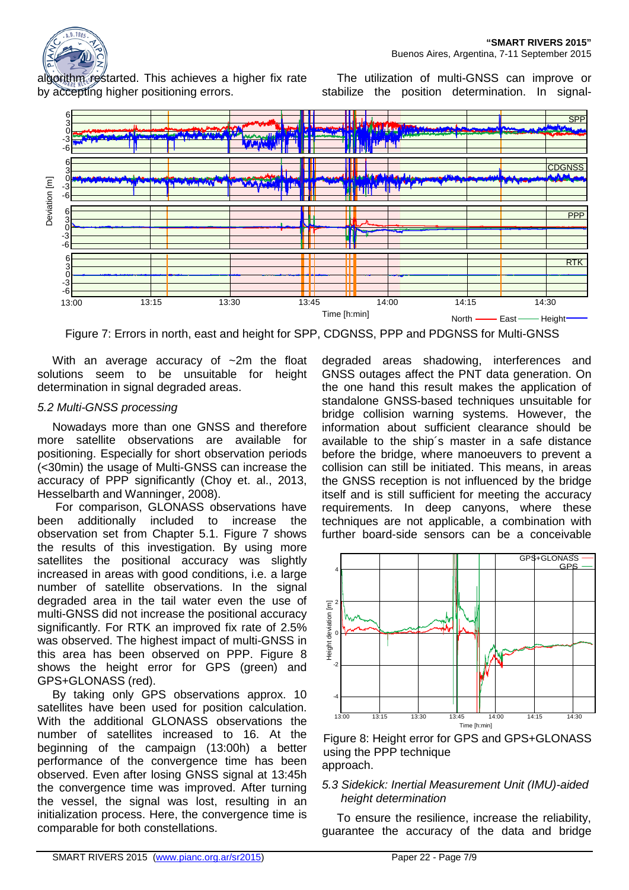

algorithm restarted. This achieves a higher fix rate by accepting higher positioning errors.

The utilization of multi-GNSS can improve or stabilize the position determination. In signal-



<span id="page-6-0"></span>Figure 7: Errors in north, east and height for SPP, CDGNSS, PPP and PDGNSS for Multi-GNSS

With an average accuracy of ~2m the float solutions seem to be unsuitable for height determination in signal degraded areas.

### *5.2 Multi-GNSS processing*

Nowadays more than one GNSS and therefore more satellite observations are available for positioning. Especially for short observation periods (<30min) the usage of Multi-GNSS can increase the accuracy of PPP significantly (Choy et. al., 2013, Hesselbarth and Wanninger, 2008).

For comparison, GLONASS observations have been additionally included to increase the observation set from Chapter 5.1. [Figure 7](#page-6-0) shows the results of this investigation. By using more satellites the positional accuracy was slightly increased in areas with good conditions, i.e. a large number of satellite observations. In the signal degraded area in the tail water even the use of multi-GNSS did not increase the positional accuracy significantly. For RTK an improved fix rate of 2.5% was observed. The highest impact of multi-GNSS in this area has been observed on PPP. Figure 8 shows the height error for GPS (green) and GPS+GLONASS (red).

By taking only GPS observations approx. 10 satellites have been used for position calculation. With the additional GLONASS observations the number of satellites increased to 16. At the beginning of the campaign (13:00h) a better performance of the convergence time has been observed. Even after losing GNSS signal at 13:45h the convergence time was improved. After turning the vessel, the signal was lost, resulting in an initialization process. Here, the convergence time is comparable for both constellations.

degraded areas shadowing, interferences and GNSS outages affect the PNT data generation. On the one hand this result makes the application of standalone GNSS-based techniques unsuitable for bridge collision warning systems. However, the information about sufficient clearance should be available to the ship´s master in a safe distance before the bridge, where manoeuvers to prevent a collision can still be initiated. This means, in areas the GNSS reception is not influenced by the bridge itself and is still sufficient for meeting the accuracy requirements. In deep canyons, where these techniques are not applicable, a combination with further board-side sensors can be a conceivable



approach. Figure 8: Height error for GPS and GPS+GLONASS using the PPP technique

# *5.3 Sidekick: Inertial Measurement Unit (IMU)-aided height determination*

To ensure the resilience, increase the reliability, guarantee the accuracy of the data and bridge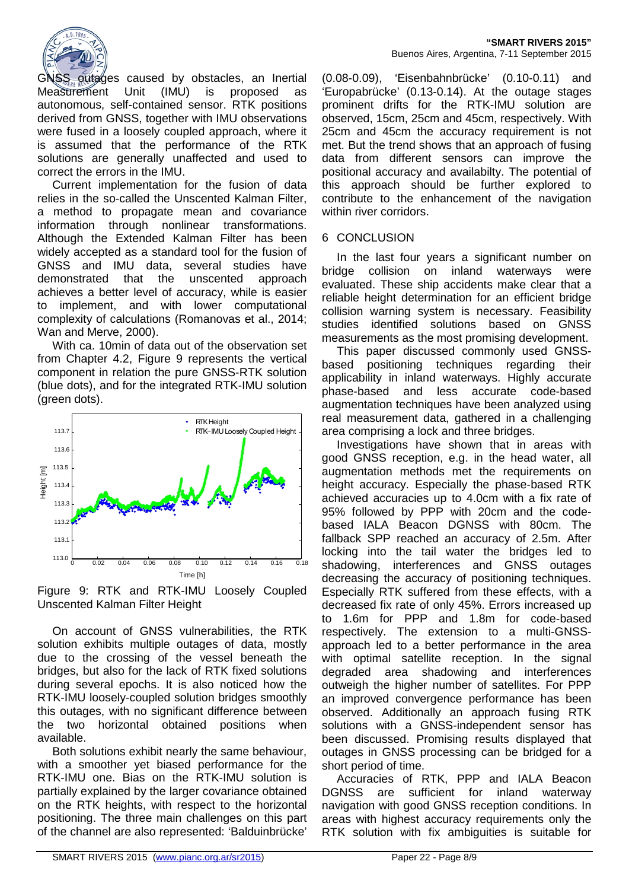

GNSS outages caused by obstacles, an Inertial Measurement Unit (IMU) is proposed as autonomous, self-contained sensor. RTK positions derived from GNSS, together with IMU observations were fused in a loosely coupled approach, where it is assumed that the performance of the RTK solutions are generally unaffected and used to correct the errors in the IMU.

Current implementation for the fusion of data relies in the so-called the Unscented Kalman Filter, a method to propagate mean and covariance information through nonlinear transformations. Although the Extended Kalman Filter has been widely accepted as a standard tool for the fusion of GNSS and IMU data, several studies have demonstrated that the unscented approach achieves a better level of accuracy, while is easier to implement, and with lower computational complexity of calculations (Romanovas et al., 2014; Wan and Merve, 2000).

With ca. 10min of data out of the observation set from Chapter 4.2, [Figure 9](#page-7-0) represents the vertical component in relation the pure GNSS-RTK solution (blue dots), and for the integrated RTK-IMU solution (green dots).



<span id="page-7-0"></span>Figure 9: RTK and RTK-IMU Loosely Coupled Unscented Kalman Filter Height

On account of GNSS vulnerabilities, the RTK solution exhibits multiple outages of data, mostly due to the crossing of the vessel beneath the bridges, but also for the lack of RTK fixed solutions during several epochs. It is also noticed how the RTK-IMU loosely-coupled solution bridges smoothly this outages, with no significant difference between the two horizontal obtained positions when available.

Both solutions exhibit nearly the same behaviour, with a smoother yet biased performance for the RTK-IMU one. Bias on the RTK-IMU solution is partially explained by the larger covariance obtained on the RTK heights, with respect to the horizontal positioning. The three main challenges on this part of the channel are also represented: 'Balduinbrücke'

(0.08-0.09), 'Eisenbahnbrücke' (0.10-0.11) and 'Europabrücke' (0.13-0.14). At the outage stages prominent drifts for the RTK-IMU solution are observed, 15cm, 25cm and 45cm, respectively. With 25cm and 45cm the accuracy requirement is not met. But the trend shows that an approach of fusing data from different sensors can improve the positional accuracy and availabilty. The potential of this approach should be further explored to contribute to the enhancement of the navigation within river corridors.

# 6 CONCLUSION

In the last four years a significant number on bridge collision on inland waterways were evaluated. These ship accidents make clear that a reliable height determination for an efficient bridge collision warning system is necessary. Feasibility studies identified solutions based on GNSS measurements as the most promising development.

This paper discussed commonly used GNSSbased positioning techniques regarding their applicability in inland waterways. Highly accurate phase-based and less accurate code-based augmentation techniques have been analyzed using real measurement data, gathered in a challenging area comprising a lock and three bridges.

Investigations have shown that in areas with good GNSS reception, e.g. in the head water, all augmentation methods met the requirements on height accuracy. Especially the phase-based RTK achieved accuracies up to 4.0cm with a fix rate of 95% followed by PPP with 20cm and the codebased IALA Beacon DGNSS with 80cm. The fallback SPP reached an accuracy of 2.5m. After locking into the tail water the bridges led to shadowing, interferences and GNSS outages decreasing the accuracy of positioning techniques. Especially RTK suffered from these effects, with a decreased fix rate of only 45%. Errors increased up to 1.6m for PPP and 1.8m for code-based respectively. The extension to a multi-GNSSapproach led to a better performance in the area with optimal satellite reception. In the signal degraded area shadowing and interferences outweigh the higher number of satellites. For PPP an improved convergence performance has been observed. Additionally an approach fusing RTK solutions with a GNSS-independent sensor has been discussed. Promising results displayed that outages in GNSS processing can be bridged for a short period of time.

Accuracies of RTK, PPP and IALA Beacon DGNSS are sufficient for inland waterway navigation with good GNSS reception conditions. In areas with highest accuracy requirements only the RTK solution with fix ambiguities is suitable for